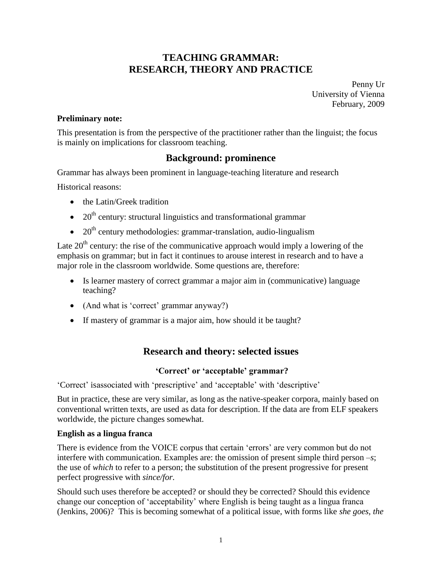# **TEACHING GRAMMAR: RESEARCH, THEORY AND PRACTICE**

Penny Ur University of Vienna February, 2009

## **Preliminary note:**

This presentation is from the perspective of the practitioner rather than the linguist; the focus is mainly on implications for classroom teaching.

# **Background: prominence**

Grammar has always been prominent in language-teaching literature and research

Historical reasons:

- the Latin/Greek tradition
- $\bullet$  20<sup>th</sup> century: structural linguistics and transformational grammar
- $\bullet$  20<sup>th</sup> century methodologies: grammar-translation, audio-lingualism

Late  $20<sup>th</sup>$  century: the rise of the communicative approach would imply a lowering of the emphasis on grammar; but in fact it continues to arouse interest in research and to have a major role in the classroom worldwide. Some questions are, therefore:

- Is learner mastery of correct grammar a major aim in (communicative) language teaching?
- (And what is 'correct' grammar anyway?)
- If mastery of grammar is a major aim, how should it be taught?

# **Research and theory: selected issues**

#### **'Correct' or 'acceptable' grammar?**

'Correct' isassociated with 'prescriptive' and 'acceptable' with 'descriptive'

But in practice, these are very similar, as long as the native-speaker corpora, mainly based on conventional written texts, are used as data for description. If the data are from ELF speakers worldwide, the picture changes somewhat.

#### **English as a lingua franca**

There is evidence from the VOICE corpus that certain 'errors' are very common but do not interfere with communication. Examples are: the omission of present simple third person –*s*; the use of *which* to refer to a person; the substitution of the present progressive for present perfect progressive with *since/for.*

Should such uses therefore be accepted? or should they be corrected? Should this evidence change our conception of 'acceptability' where English is being taught as a lingua franca (Jenkins, 2006)? This is becoming somewhat of a political issue, with forms like *she goes, the*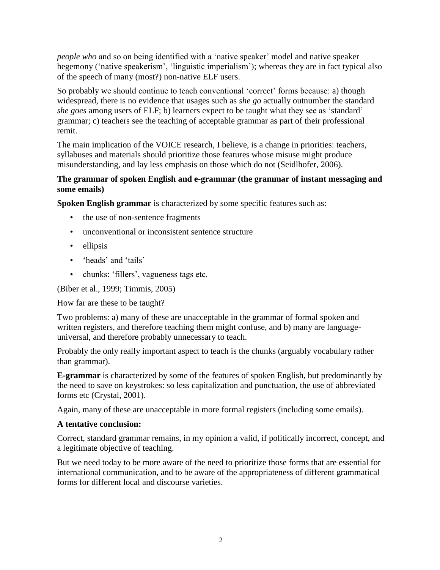*people who* and so on being identified with a 'native speaker' model and native speaker hegemony ('native speakerism', 'linguistic imperialism'); whereas they are in fact typical also of the speech of many (most?) non-native ELF users.

So probably we should continue to teach conventional 'correct' forms because: a) though widespread, there is no evidence that usages such as *she go* actually outnumber the standard *she goes* among users of ELF; b) learners expect to be taught what they see as 'standard' grammar; c) teachers see the teaching of acceptable grammar as part of their professional remit.

The main implication of the VOICE research, I believe, is a change in priorities: teachers, syllabuses and materials should prioritize those features whose misuse might produce misunderstanding, and lay less emphasis on those which do not (Seidlhofer, 2006).

## **The grammar of spoken English and e-grammar (the grammar of instant messaging and some emails)**

**Spoken English grammar** is characterized by some specific features such as:

- the use of non-sentence fragments
- unconventional or inconsistent sentence structure
- ellipsis
- 'heads' and 'tails'
- chunks: 'fillers', vagueness tags etc.

(Biber et al., 1999; Timmis, 2005)

How far are these to be taught?

Two problems: a) many of these are unacceptable in the grammar of formal spoken and written registers, and therefore teaching them might confuse, and b) many are languageuniversal, and therefore probably unnecessary to teach.

Probably the only really important aspect to teach is the chunks (arguably vocabulary rather than grammar).

**E-grammar** is characterized by some of the features of spoken English, but predominantly by the need to save on keystrokes: so less capitalization and punctuation, the use of abbreviated forms etc (Crystal, 2001).

Again, many of these are unacceptable in more formal registers (including some emails).

# **A tentative conclusion:**

Correct, standard grammar remains, in my opinion a valid, if politically incorrect, concept, and a legitimate objective of teaching.

But we need today to be more aware of the need to prioritize those forms that are essential for international communication, and to be aware of the appropriateness of different grammatical forms for different local and discourse varieties.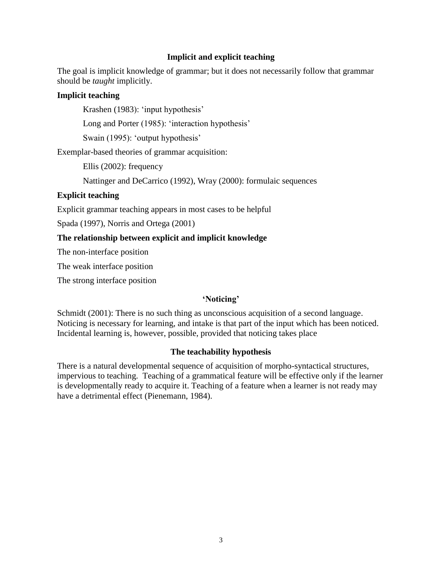## **Implicit and explicit teaching**

The goal is implicit knowledge of grammar; but it does not necessarily follow that grammar should be *taught* implicitly.

## **Implicit teaching**

Krashen (1983): 'input hypothesis'

Long and Porter (1985): 'interaction hypothesis'

Swain (1995): 'output hypothesis'

Exemplar-based theories of grammar acquisition:

Ellis (2002): frequency

Nattinger and DeCarrico (1992), Wray (2000): formulaic sequences

## **Explicit teaching**

Explicit grammar teaching appears in most cases to be helpful

Spada (1997), Norris and Ortega (2001)

## **The relationship between explicit and implicit knowledge**

The non-interface position

The weak interface position

The strong interface position

# **'Noticing'**

Schmidt (2001): There is no such thing as unconscious acquisition of a second language. Noticing is necessary for learning, and intake is that part of the input which has been noticed. Incidental learning is, however, possible, provided that noticing takes place

# **The teachability hypothesis**

There is a natural developmental sequence of acquisition of morpho-syntactical structures, impervious to teaching. Teaching of a grammatical feature will be effective only if the learner is developmentally ready to acquire it. Teaching of a feature when a learner is not ready may have a detrimental effect (Pienemann, 1984).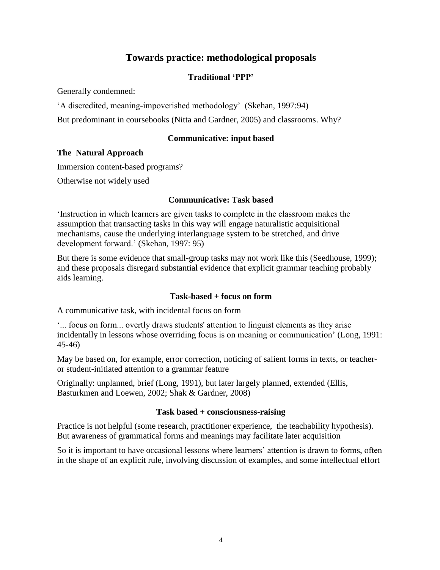# **Towards practice: methodological proposals**

# **Traditional 'PPP'**

Generally condemned:

'A discredited, meaning-impoverished methodology' (Skehan, 1997:94)

But predominant in coursebooks (Nitta and Gardner, 2005) and classrooms. Why?

# **Communicative: input based**

#### **The Natural Approach**

Immersion content-based programs?

Otherwise not widely used

#### **Communicative: Task based**

'Instruction in which learners are given tasks to complete in the classroom makes the assumption that transacting tasks in this way will engage naturalistic acquisitional mechanisms, cause the underlying interlanguage system to be stretched, and drive development forward.' (Skehan, 1997: 95)

But there is some evidence that small-group tasks may not work like this (Seedhouse, 1999); and these proposals disregard substantial evidence that explicit grammar teaching probably aids learning.

#### **Task-based + focus on form**

A communicative task, with incidental focus on form

'... focus on form... overtly draws students' attention to linguist elements as they arise incidentally in lessons whose overriding focus is on meaning or communication' (Long, 1991: 45-46)

May be based on, for example, error correction, noticing of salient forms in texts, or teacheror student-initiated attention to a grammar feature

Originally: unplanned, brief (Long, 1991), but later largely planned, extended (Ellis, Basturkmen and Loewen, 2002; Shak & Gardner, 2008)

# **Task based + consciousness-raising**

Practice is not helpful (some research, practitioner experience, the teachability hypothesis). But awareness of grammatical forms and meanings may facilitate later acquisition

So it is important to have occasional lessons where learners' attention is drawn to forms, often in the shape of an explicit rule, involving discussion of examples, and some intellectual effort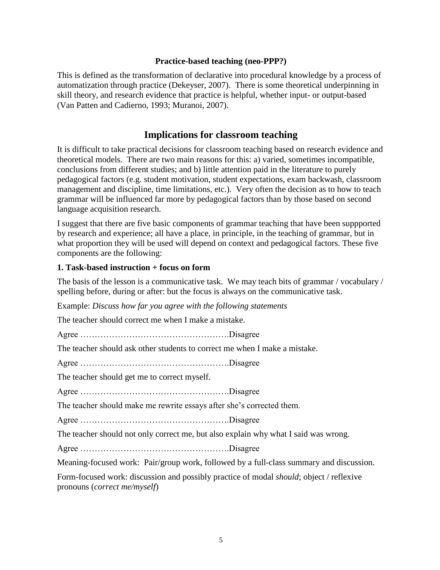## **Practice-based teaching (neo-PPP?)**

This is defined as the transformation of declarative into procedural knowledge by a process of automatization through practice (Dekeyser, 2007). There is some theoretical underpinning in skill theory, and research evidence that practice is helpful, whether input- or output-based (Van Patten and Cadierno, 1993; Muranoi, 2007).

# **Implications for classroom teaching**

It is difficult to take practical decisions for classroom teaching based on research evidence and theoretical models. There are two main reasons for this: a) varied, sometimes incompatible, conclusions from different studies; and b) little attention paid in the literature to purely pedagogical factors (e.g. student motivation, student expectations, exam backwash, classroom management and discipline, time limitations, etc.). Very often the decision as to how to teach grammar will be influenced far more by pedagogical factors than by those based on second language acquisition research.

I suggest that there are five basic components of grammar teaching that have been suppported by research and experience; all have a place, in principle, in the teaching of grammar, but in what proportion they will be used will depend on context and pedagogical factors. These five components are the following:

## **1. Task-based instruction + focus on form**

The basis of the lesson is a communicative task. We may teach bits of grammar / vocabulary / spelling before, during or after: but the focus is always on the communicative task.

Example: *Discuss how far you agree with the following statements*

The teacher should correct me when I make a mistake.

Agree …………………………………………….Disagree

The teacher should ask other students to correct me when I make a mistake.

Agree …………………………………………….Disagree

The teacher should get me to correct myself.

Agree …………………………………………….Disagree

The teacher should make me rewrite essays after she's corrected them.

Agree …………………………………………….Disagree

The teacher should not only correct me, but also explain why what I said was wrong.

Agree …………………………………………….Disagree

Meaning-focused work: Pair/group work, followed by a full-class summary and discussion.

Form-focused work: discussion and possibly practice of modal *should*; object / reflexive pronouns (*correct me/myself*)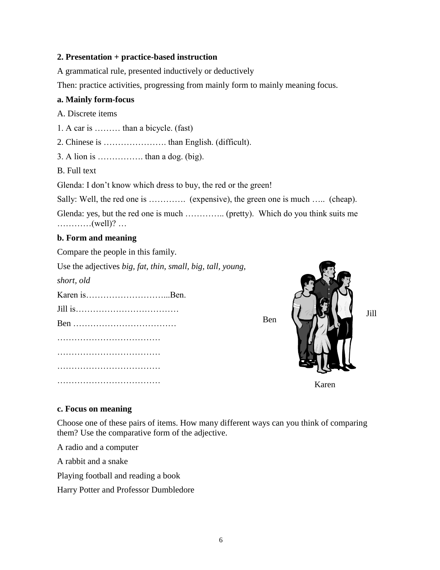## **2. Presentation + practice-based instruction**

A grammatical rule, presented inductively or deductively

Then: practice activities, progressing from mainly form to mainly meaning focus.

### **a. Mainly form-focus**

A. Discrete items

1. A car is ……… than a bicycle. (fast)

2. Chinese is …………………. than English. (difficult).

3. A lion is  $\dots$   $\dots$   $\dots$  than a dog. (big).

B. Full text

Glenda: I don't know which dress to buy, the red or the green!

Sally: Well, the red one is ………….. (expensive), the green one is much ….. (cheap).

Glenda: yes, but the red one is much ………….. (pretty). Which do you think suits me …………(well)? …

## **b. Form and meaning**

Compare the people in this family.

Use the adjectives *big, fat, thin, small, big, tall, young,*

*short, old*

Karen is **Ben** Jill is……………………………… Ben ……………………………… ………………………………………… ………………………………………… …………………………………………



**c. Focus on meaning**

………………………………………

Choose one of these pairs of items. How many different ways can you think of comparing them? Use the comparative form of the adjective.

A radio and a computer

A rabbit and a snake

Playing football and reading a book

Harry Potter and Professor Dumbledore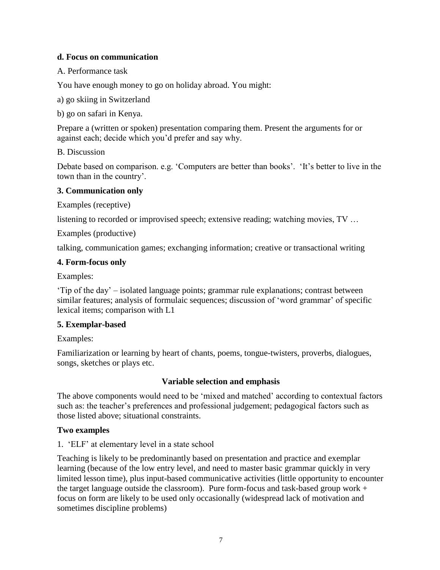# **d. Focus on communication**

A. Performance task

You have enough money to go on holiday abroad. You might:

a) go skiing in Switzerland

b) go on safari in Kenya.

Prepare a (written or spoken) presentation comparing them. Present the arguments for or against each; decide which you'd prefer and say why.

## B. Discussion

Debate based on comparison. e.g. 'Computers are better than books'. 'It's better to live in the town than in the country'.

## **3. Communication only**

Examples (receptive)

listening to recorded or improvised speech; extensive reading; watching movies, TV …

Examples (productive)

talking, communication games; exchanging information; creative or transactional writing

#### **4. Form-focus only**

Examples:

'Tip of the day' – isolated language points; grammar rule explanations; contrast between similar features; analysis of formulaic sequences; discussion of 'word grammar' of specific lexical items; comparison with L1

# **5. Exemplar-based**

Examples:

Familiarization or learning by heart of chants, poems, tongue-twisters, proverbs, dialogues, songs, sketches or plays etc.

# **Variable selection and emphasis**

The above components would need to be 'mixed and matched' according to contextual factors such as: the teacher's preferences and professional judgement; pedagogical factors such as those listed above; situational constraints.

#### **Two examples**

1. 'ELF' at elementary level in a state school

Teaching is likely to be predominantly based on presentation and practice and exemplar learning (because of the low entry level, and need to master basic grammar quickly in very limited lesson time), plus input-based communicative activities (little opportunity to encounter the target language outside the classroom). Pure form-focus and task-based group work  $+$ focus on form are likely to be used only occasionally (widespread lack of motivation and sometimes discipline problems)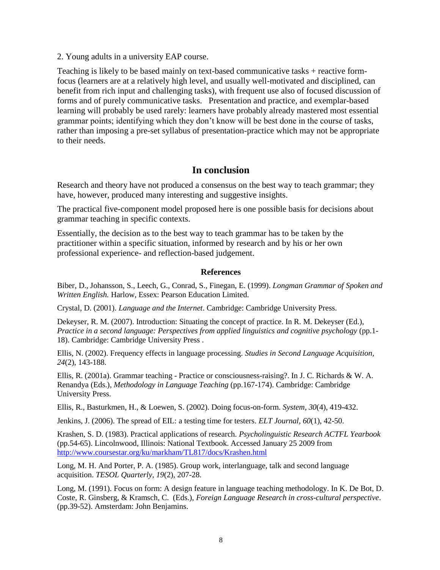2. Young adults in a university EAP course.

Teaching is likely to be based mainly on text-based communicative tasks + reactive formfocus (learners are at a relatively high level, and usually well-motivated and disciplined, can benefit from rich input and challenging tasks), with frequent use also of focused discussion of forms and of purely communicative tasks. Presentation and practice, and exemplar-based learning will probably be used rarely: learners have probably already mastered most essential grammar points; identifying which they don't know will be best done in the course of tasks, rather than imposing a pre-set syllabus of presentation-practice which may not be appropriate to their needs.

# **In conclusion**

Research and theory have not produced a consensus on the best way to teach grammar; they have, however, produced many interesting and suggestive insights.

The practical five-component model proposed here is one possible basis for decisions about grammar teaching in specific contexts.

Essentially, the decision as to the best way to teach grammar has to be taken by the practitioner within a specific situation, informed by research and by his or her own professional experience- and reflection-based judgement.

#### **References**

Biber, D., Johansson, S., Leech, G., Conrad, S., Finegan, E. (1999). *Longman Grammar of Spoken and Written English.* Harlow, Essex: Pearson Education Limited.

Crystal, D. (2001). *Language and the Internet*. Cambridge: Cambridge University Press.

Dekeyser, R. M. (2007). Introduction: Situating the concept of practice. In R. M. Dekeyser (Ed.), *Practice in a second language: Perspectives from applied linguistics and cognitive psychology* (pp.1- 18). Cambridge: Cambridge University Press .

Ellis, N. (2002). Frequency effects in language processing. *Studies in Second Language Acquisition, 24*(2), 143-188.

Ellis, R. (2001a). Grammar teaching - Practice or consciousness-raising?. In J. C. Richards & W. A. Renandya (Eds.), *Methodology in Language Teaching* (pp.167-174). Cambridge: Cambridge University Press.

Ellis, R., Basturkmen, H., & Loewen, S. (2002). Doing focus-on-form. *System, 30*(4), 419-432.

Jenkins, J. (2006). The spread of EIL: a testing time for testers. *ELT Journal, 60*(1), 42-50.

Krashen, S. D. (1983). Practical applications of research. *Psycholinguistic Research ACTFL Yearbook*  (pp.54-65). Lincolnwood, Illinois: National Textbook. Accessed January 25 2009 from <http://www.coursestar.org/ku/markham/TL817/docs/Krashen.html>

Long, M. H. And Porter, P. A. (1985). Group work, interlanguage, talk and second language acquisition. *TESOL Quarterly, 19*(2), 207-28.

Long, M. (1991). Focus on form: A design feature in language teaching methodology. In K. De Bot, D. Coste, R. Ginsberg, & Kramsch, C. (Eds.), *Foreign Language Research in cross-cultural perspective*. (pp.39-52). Amsterdam: John Benjamins.